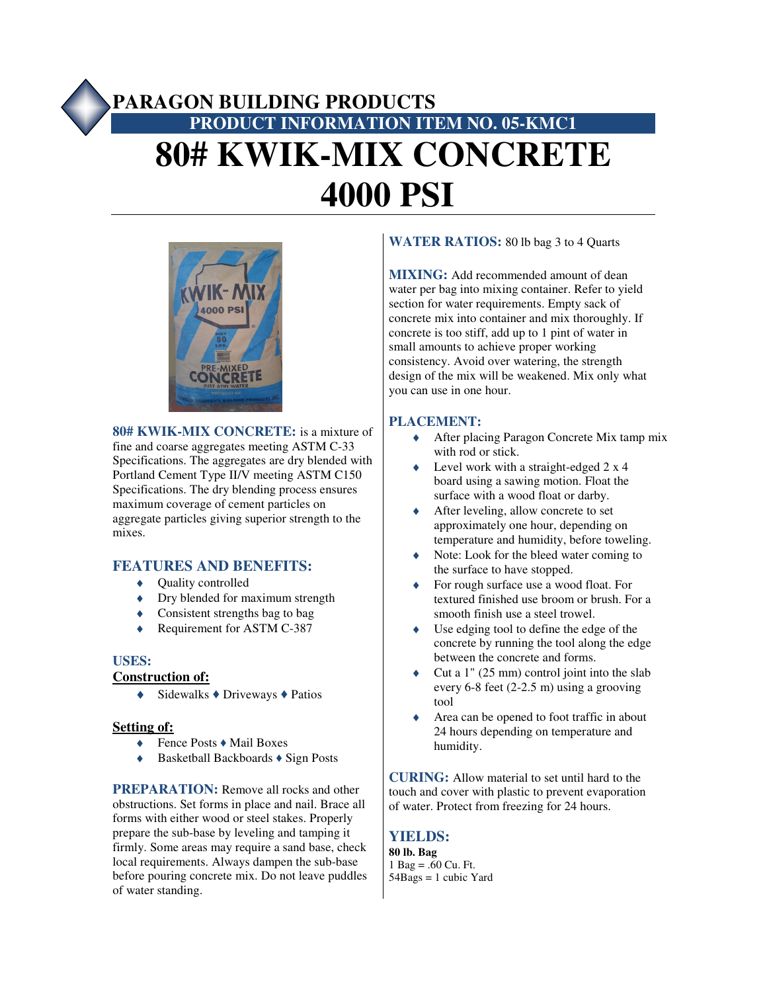# **PARAGON BUILDING PRODUCTS PRODUCT INFORMATION ITEM NO. 05-KMC1 80# KWIK-MIX CONCRETE 4000 PSI**



**80# KWIK-MIX CONCRETE:** is a mixture of fine and coarse aggregates meeting ASTM C-33 Specifications. The aggregates are dry blended with Portland Cement Type II/V meeting ASTM C150 Specifications. The dry blending process ensures maximum coverage of cement particles on aggregate particles giving superior strength to the mixes.

## **FEATURES AND BENEFITS:**

- ♦ Quality controlled
- $\blacklozenge$  Dry blended for maximum strength
- ♦ Consistent strengths bag to bag
- ◆ Requirement for ASTM C-387

## **USES:**

## **Construction of:**

 $\triangleleft$  Sidewalks  $\triangleleft$  Driveways  $\triangleleft$  Patios

## **Setting of:**

- ♦ Fence Posts ♦ Mail Boxes
- ♦ Basketball Backboards ♦ Sign Posts

**PREPARATION:** Remove all rocks and other obstructions. Set forms in place and nail. Brace all forms with either wood or steel stakes. Properly prepare the sub-base by leveling and tamping it firmly. Some areas may require a sand base, check local requirements. Always dampen the sub-base before pouring concrete mix. Do not leave puddles of water standing.

# **WATER RATIOS:** 80 lb bag 3 to 4 Quarts

**MIXING:** Add recommended amount of dean water per bag into mixing container. Refer to yield section for water requirements. Empty sack of concrete mix into container and mix thoroughly. If concrete is too stiff, add up to 1 pint of water in small amounts to achieve proper working consistency. Avoid over watering, the strength design of the mix will be weakened. Mix only what you can use in one hour.

## **PLACEMENT:**

- ♦ After placing Paragon Concrete Mix tamp mix with rod or stick.
- Level work with a straight-edged  $2 \times 4$ board using a sawing motion. Float the surface with a wood float or darby.
- ◆ After leveling, allow concrete to set approximately one hour, depending on temperature and humidity, before toweling.
- ♦ Note: Look for the bleed water coming to the surface to have stopped.
- For rough surface use a wood float. For textured finished use broom or brush. For a smooth finish use a steel trowel.
- $\bullet$  Use edging tool to define the edge of the concrete by running the tool along the edge between the concrete and forms.
- Cut a  $1$ " (25 mm) control joint into the slab every 6-8 feet (2-2.5 m) using a grooving tool
- Area can be opened to foot traffic in about 24 hours depending on temperature and humidity.

**CURING:** Allow material to set until hard to the touch and cover with plastic to prevent evaporation of water. Protect from freezing for 24 hours.

# **YIELDS:**

**80 lb. Bag** 1 Bag =  $.60$  Cu. Ft.  $54Bags = 1$  cubic Yard